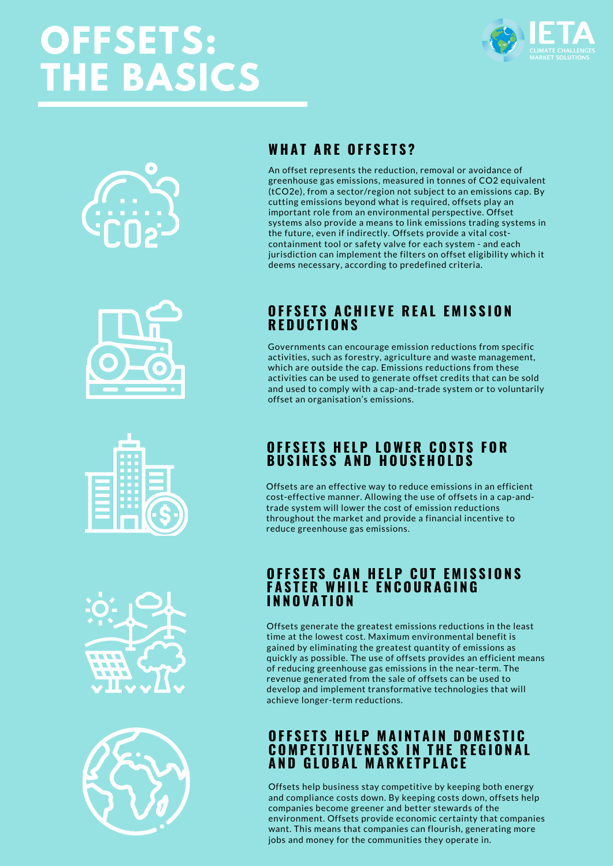# **OFFSETS: THE BASICS**













# **WH A T A R E O F F S E T S ?**

An offset represents the reduction, removal or avoidance of greenhouse gas emissions, measured in tonnes of CO2 equivalent (tCO2e), from a sector/region not subject to an emissions cap. By cutting emissions beyond what is required, offsets play an important role from an environmental perspective. Offset systems also provide a means to link emissions trading systems in the future, even if indirectly. Offsets provide a vital costcontainment tool or safety valve for each system - and each jurisdiction can implement the filters on offset eligibility which it deems necessary, according to predefined criteria.

### OFFSETS ACHIEVE REAL EMISSION **R E D U C T I O N S**

Governments can encourage emission reductions from specific activities, such as forestry, agriculture and waste management, which are outside the cap. Emissions reductions from these activities can be used to generate offset credits that can be sold and used to comply with a cap-and-trade system or to voluntarily offset an organisation's emissions.

## **O F F S E T S H E L P L OWE R C O S T S F O R**  $B$  **USINESS AND HOUSEHOLDS**

Offsets are an effective way to reduce emissions in an efficient cost-effective manner. Allowing the use of offsets in a cap-andtrade system will lower the cost of emission reductions throughout the market and provide a financial incentive to reduce greenhouse gas emissions.

#### OFFSETS CAN HELP CUT EMISSIONS **F A S T E R WH I L E E N C O U R A G I N G I N N O V A T I O N**

Offsets generate the greatest emissions reductions in the least time at the lowest cost. Maximum environmental benefit is gained by eliminating the greatest quantity of emissions as quickly as possible. The use of offsets provides an efficient means of reducing greenhouse gas emissions in the near-term. The revenue generated from the sale of offsets can be used to develop and implement transformative technologies that will achieve longer-term reductions.

### **OFFSETS HELP MAINTAIN DOMESTIC COMPETITIVENESS IN THE REGIONAL A N D G L O B A L M A R K E T P L A C E**

Offsets help business stay competitive by keeping both energy and compliance costs down. By keeping costs down, offsets help companies become greener and better stewards of the environment. Offsets provide economic certainty that companies want. This means that companies can flourish, generating more jobs and money for the communities they operate in.